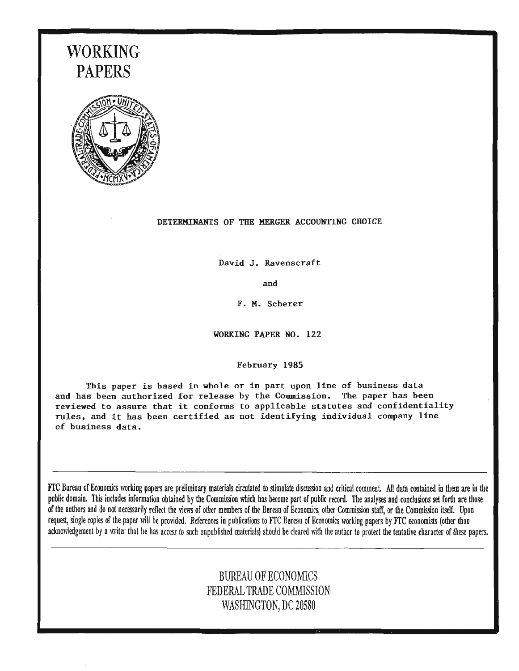# **WORKING PAPERS**



#### DETERMINANTS OF THE MERGER ACCOUNTING CHOICE

David J. Ravenscraft

and

F. M. Scherer

WORKING PAPER NO. 122

#### February 1985

This paper is based in whole or in part upon line of business data and has been authorized for release by the Commission. The paper has been reviewed to assure that it conforms to applicable statutes and confidentiality rules, and it has been certified as not identifying individual company line of business data.

rrc Bureau of Ecooomics working papers are preliminary materials circulated to stimulate discussion and critical comment All data cootained in them are in the public domain. This includes information obtained by the Commission which has become part of public record. The analyses and conclusions set forth are those of the authors and do not necessarily reflect the views of other members of the Bureau of Economics, other Commission staff, or the Commission itself. Upon request, single copies of the paper will be provided. References in publications to FfC Bureau of Economics working papers by FfC economists (other than acknowledgement by a writer that he has access to such unpublished materials) should be cleared with the author to protect the tentative character of these papers.

### BUREAU OF ECONOMICS FEDERAL TRADE COMMISSION WASHINGTON, DC 20580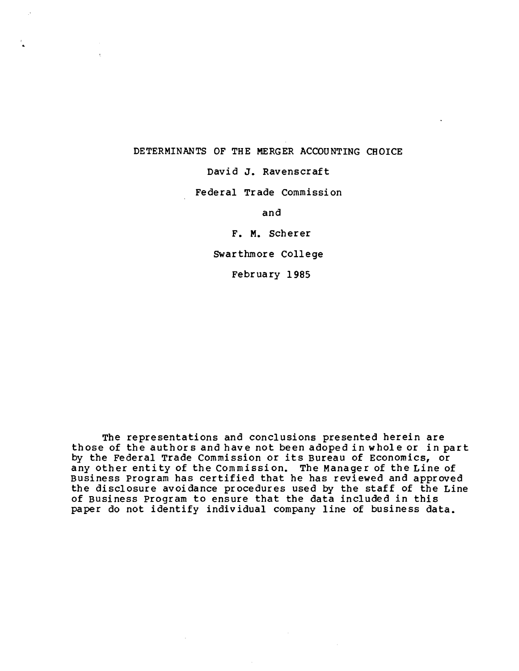#### DETERMINANTS OF THE MERGER ACCOUNTING CHOICE

David J. Ravenscraft

Federal Trade Commission

and

F. M. Scherer

Swarthmore College

February 1985

The representations and conclusions presented herein are those of the authors and have not been adoped in whole or in part by the Federal Trade Commission or its Bureau of Economics, or any other entity of the Commission. The Manager of the Line of Business Program has certified that he has reviewed and approved the disclosure avoidance procedures used by the staff of the Line of Business Program to ensure that the data included in this paper do not identify individual company line of business data.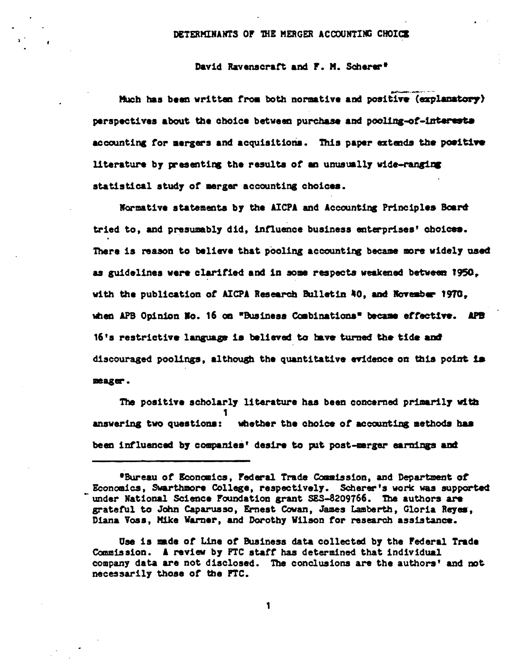#### DETERMINANTS OF THE MERGER ACCOUNTING CHOICE

#### David Ravenscraft and F. M. Scherer<sup>s</sup>

Much has been written from both normative and positive (explanatory) perspectives about the choice between purchase and pooling-of-interests accounting for mergers and acquisitions. This paper extends the positive literature by presenting the results of an unusually wide-ranging statistical study of merger accounting choices.

Normative statements by the AICPA and Accounting Principles Board tried to, and presumably did, influence business enterprises' choices. There is reason to believe that pooling accounting became more widely used as guidelines were clarified and in some respects weakened between 1950, with the publication of AICPA Research Bulletin 40, and November 1970, when APB Opinion Mo. 16 on "Business Combinations" became effective. APB 16's restrictive language is believed to have turned the tide and discouraged poolings, although the quantitative evidence on this point is mager.

The positive scholarly literature has been concerned primarily with 1 answering two questions: whether the choice of accounting methods has been influenced by companies' desire to put post-merger earnings and

<sup>\*</sup>Bureau of Economics, Federal Trade Commission, and Department of Economics, Swarthmore College, respectively. Scherer's work was supported under National Science Foundation grant SES-8209766. The authors are grateful to John Caparusso, Ernest Cowan, James Lamberth, Gloria Reyes, Diana Voss, Mike Warner, and Dorothy Wilson for research assistance.

Use is made of Line of Business data collected by the Federal Trade Commission. A review by FTC staff has determined that individual company data are not disclosed. The conclusions are the authors' and not necessarily those of the FTC.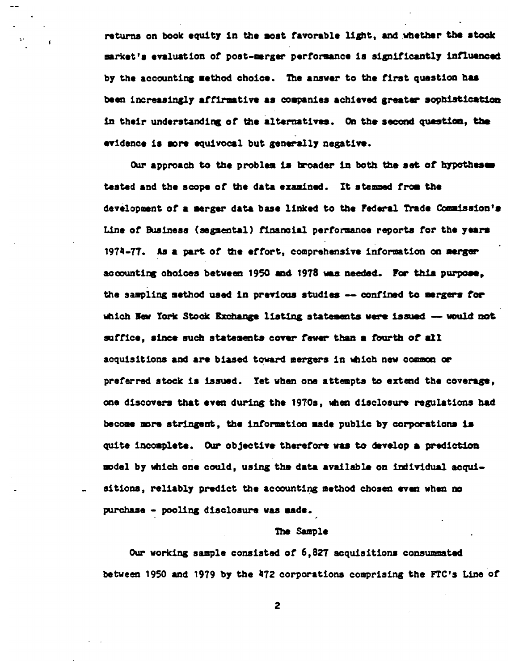returns on book equity in the most favorable light, and whether the stock market's evaluation of post-marger performance is significantly influenced by the accounting method choice. The answer to the first question has been increasingly affirmative as companies achieved greater sophistication in their understanding of the alternatives. On the second question, the evidence is more equivocal but generally negative.

Our approach to the problem is broader in both the set of hypotheses tested and the scope of the data examined. It stemmed from the development of a merger data base linked to the Federal Trade Commission's Line of Business (segmental) financial performance reports for the years 1974-77. As a part of the effort, comprehensive information on merger accounting choices between 1950 and 1978 was needed. For this purpose, the sampling method used in previous studies -- confined to mergers for which New York Stock Exchange listing statements were issued -- would not suffice, since such statements cover fewer than a fourth of all acquisitions and are biased toward mergers in which new common or preferred stock is issued. Yet when one attempts to extend the coverage, one discovers that even during the 1970s, when disclosure regulations had become more stringent, the information made public by corporations is quite incomplete. Our objective therefore was to develop a prediction model by which one could, using the data available on individual acquisitions, reliably predict the accounting method chosen even when no purchase - pooling disclosure was sade.

#### The Sample

Our working sample consisted of 6,827 acquisitions consummated between 1950 and 1979 by the 472 corporations comprising the FTC's Line of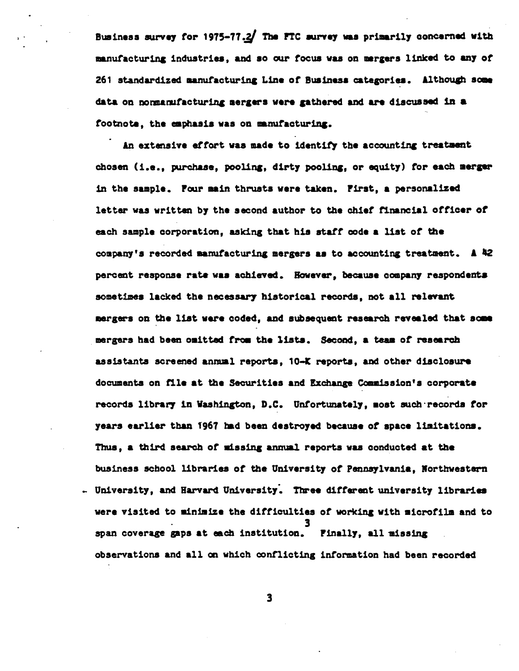Business survey for 1975-77.2 The FTC survey was primarily concerned with manufacturing industries, and so our focus was on mergers linked to any of 261 standardized manufacturing Line of Business categories. Although some data on nonmanufacturing mergers were gathered and are discussed in a footnote, the emphasis was on manufacturing.

An extensive effort was made to identify the accounting treatment chosen (i.e., purchase, pooling, dirty pooling, or equity) for each merger in the sample. Four main thrusts were taken. First, a personalized letter was written by the second author to the chief financial officer of each sample corporation, asking that his staff code a list of the company's recorded manufacturing mergers as to accounting treatment. A 42 percent response rate was achieved. However, because company respondents sometimes lacked the necessary historical records, not all relevant mergers on the list were coded, and subsequent research revealed that some mergers had been omitted from the lists. Second, a team of research assistants screened annual reports, 10-K reports, and other disclosure documents on file at the Securities and Exchange Commission's corporate records library in Washington, D.C. Unfortunately, most such records for years earlier than 1967 had been destroyed because of space limitations. Thus, a third search of missing annual reports was conducted at the business school libraries of the University of Pennsylvania, Northwestern - University, and Harvard University. Three different university libraries were visited to minimize the difficulties of working with microfilm and to span coverage gaps at each institution. Finally, all missing observations and all on which conflicting information had been recorded

 $\mathbf{3}$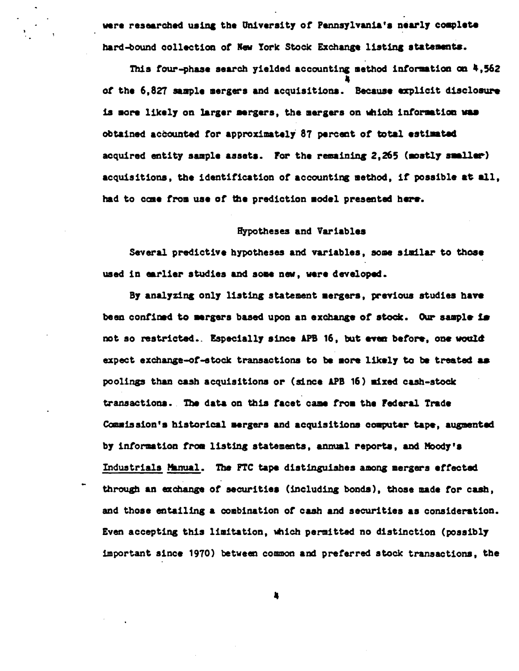were researched using the University of Pennsylvania's nearly complete hard-bound collection of New York Stock Exchange listing statements.

This four-phase search yielded accounting method information on 4,562 of the 6,827 sample mergers and acquisitions. Because explicit disclosure is more likely on larger mergers, the mergers on which information was obtained accounted for approximately 87 percent of total estimated acquired entity sample assets. For the remaining 2,265 (mostly smaller) acquisitions, the identification of accounting method, if possible at all, had to come from use of the prediction model presented here.

#### Hypotheses and Variables

Several predictive hypotheses and variables, some similar to those used in earlier studies and some new, were developed.

By analyzing only listing statement mergers, previous studies have been confined to mergers based upon an exchange of stock. Our sample is not so restricted. Especially since APB 16, but even before, one would expect exchange-of-stock transactions to be more likely to be treated as poolings than cash acquisitions or (since APB 16) mixed cash-stock transactions. The data on this facet came from the Federal Trade Commission's historical mergers and acquisitions computer tape, augmented by information from listing statements, annual reports, and Moody's Industrials Manual. The FTC tape distinguishes among mergers effected through an exchange of securities (including bonds), those made for cash, and those entailing a combination of cash and securities as consideration. Even accepting this limitation, which permitted no distinction (possibly important since 1970) between common and preferred stock transactions, the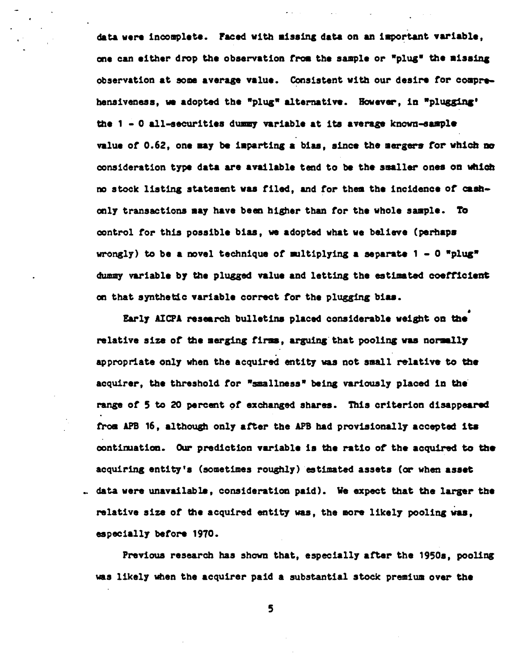data were incomplete. Faced with missing data on an important variable, one can either drop the observation from the sample or "plug" the missing observation at some average value. Consistent with our desire for comprehensiveness, we adopted the "plug" alternative. However, in "plugging' the  $1 - 0$  all-securities dummy variable at its average known-sample value of 0.62, one may be imparting a bias, since the mergers for which no consideration type data are available tend to be the smaller ones on which no stock listing statement was filed, and for them the incidence of cashonly transactions may have been higher than for the whole sample. To control for this possible bias, we adopted what we believe (perhaps wrongly) to be a novel technique of multiplying a separate  $1 - 0$  "plug" dummy variable by the plugged value and letting the estimated coefficient on that synthetic variable correct for the plugging bias.

Early AICPA research bulletins placed considerable weight on the relative size of the merging firms, arguing that pooling was normally appropriate only when the acquired entity was not small relative to the acquirer, the threshold for "smallness" being variously placed in the range of 5 to 20 percent of exchanged shares. This criterion disappeared from APB 16, although only after the APB had provisionally accepted its continuation. Our prediction variable is the ratio of the acquired to the acquiring entity's (sometimes roughly) estimated assets (or when asset . data were unavailable, consideration paid). We expect that the larger the relative size of the acquired entity was, the more likely pooling was, especially before 1970.

Previous research has shown that, especially after the 1950s, pooling was likely when the acquirer paid a substantial stock premium over the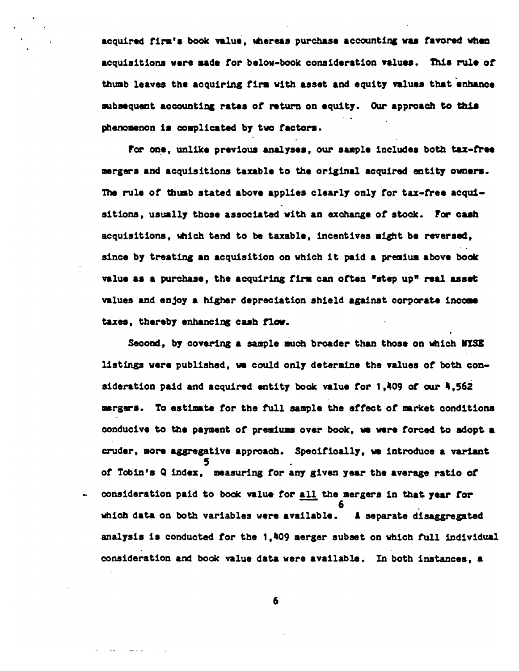acquired firm's book value, whereas purchase accounting was favored when acquisitions were made for below-book consideration values. This rule of thumb leaves the acquiring firm with asset and equity values that enhance subsequent accounting rates of return on equity. Our approach to this phenomenon is complicated by two factors.

For one, unlike previous analyses, our sample includes both tax-free mergers and acquisitions taxable to the original acquired entity owners. The rule of thumb stated above applies clearly only for tax-free acquisitions, usually those associated with an exchange of stock. For cash acquisitions, which tend to be taxable, incentives might be reversed, since by treating an acquisition on which it paid a premium above book value as a purchase, the acquiring firm can often "step up" real asset values and enjoy a higher depreciation shield against corporate income taxes, thereby enhancing cash flow.

Second. by covering a sample much broader than those on which NYSE listings were published, we could only determine the values of both consideration paid and acquired entity book value for 1.409 of our 4.562 mergers. To estimate for the full sample the effect of market conditions conducive to the payment of premiums over book, we were forced to adopt a cruder, more aggregative approach. Specifically, we introduce a variant of Tobin's Q index, measuring for any given year the average ratio of consideration paid to book value for all the mergers in that year for which data on both variables were available. A separate disaggregated analysis is conducted for the 1,409 merger subset on which full individual consideration and book value data were available. In both instances, a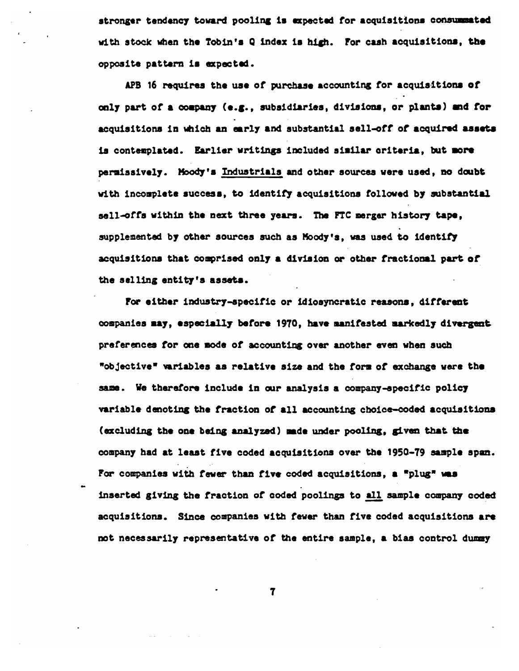stronger tendency toward pooling is expected for acquisitions consummated with stock when the Tobin's Q index is high. For cash acquisitions, the opposite pattern is expected.

APB 16 requires the use of purchase accounting for acquisitions of only part of a company (e.g., subsidiaries, divisions, or plants) and for acquisitions in which an early and substantial sell-off of acquired assets is contemplated. Earlier writings included similar criteria, but more permissively. Moody's Industrials and other sources were used, no doubt with incomplete success, to identify acquisitions followed by substantial sell-offs within the next three years. The FTC merger history tape, supplemented by other sources such as Moody's, was used to identify acquisitions that comprised only a division or other fractional part of the selling entity's assets.

For either industry-specific or idiosyncratic reasons, different companies may, especially before 1970, have manifested markedly divergent preferences for one mode of accounting over another even when such "objective" variables as relative size and the form of exchange were the same. We therefore include in our analysis a company-specific policy variable denoting the fraction of all accounting choice-coded acquisitions (excluding the one being analyzed) made under pooling, given that the company had at least five coded acquisitions over the 1950-79 sample span. For companies with fewer than five coded acquisitions, a "plug" was inserted giving the fraction of coded poolings to all sample company coded acquisitions. Since companies with fewer than five coded acquisitions are not necessarily representative of the entire sample, a bias control dummy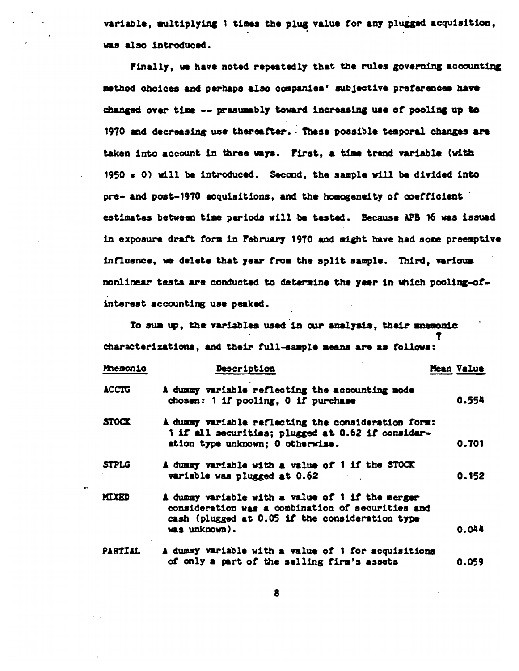variable, multiplying 1 times the plug value for any plugged acquisition, was also introduced.

Finally, we have noted repeatedly that the rules governing accounting method choices and perhaps also companies' subjective preferences have changed over time -- presumably toward increasing use of pooling up to 1970 and decreasing use thereafter. These possible temporal changes are taken into account in three ways. First, a time trend variable (with  $1950 = 0$ ) will be introduced. Second, the sample will be divided into pre- and post-1970 acquisitions, and the homogeneity of coefficient estimates between time periods will be tested. Because APB 16 was issued in exposure draft form in February 1970 and might have had some preemptive influence, we delete that year from the split sample. Third, various nonlinear tests are conducted to determine the year in which pooling-ofinterest accounting use peaked.

To sum up, the variables used in our analysis, their memonic characterizations, and their full-sample means are as follows:

| Mnemonic       | Description                                                                                                                                                               | Mean Value |
|----------------|---------------------------------------------------------------------------------------------------------------------------------------------------------------------------|------------|
| ACCTG          | A dummy variable reflecting the accounting mode<br>chosen: 1 if pooling, 0 if purchase                                                                                    | 0.554      |
| <b>STOCK</b>   | A dummy variable reflecting the consideration form:<br>1 if all securities; plugged at 0.62 if consider-<br>ation type unknown; 0 otherwise.                              | 0.701      |
| <b>STPLG</b>   | A dunmy variable with a value of 1 if the STOCK<br>variable was plugged at 0.62                                                                                           | 0.152      |
| <b>MIXED</b>   | A dummy variable with a value of 1 if the merger<br>consideration was a combination of securities and<br>cash (plugged at 0.05 if the consideration type<br>was unknown). | 0.044      |
| <b>PARTIAL</b> | A dummy variable with a value of 1 for acquisitions<br>of only a part of the selling firm's assets                                                                        | 0. OSQ     |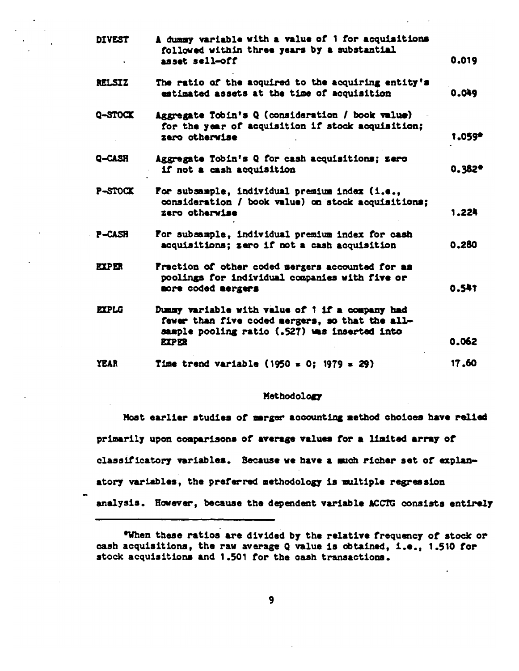| <b>DIVEST</b> | A dummy variable with a value of 1 for acquisitions<br>followed within three years by a substantial<br>asset sell-off                                               | 0.019  |
|---------------|---------------------------------------------------------------------------------------------------------------------------------------------------------------------|--------|
| <b>RELSIZ</b> | The ratio of the acquired to the acquiring entity's<br>estimated assets at the time of acquisition                                                                  | 0.049  |
| Q-STOCK       | Aggregate Tobin's Q (consideration / book value)<br>for the year of acquisition if stock acquisition;<br>zaro otherwise                                             | 1.059* |
| Q-CASH        | Aggregate Tobin's Q for cash acquisitions; zero<br>if not a cash acquisition                                                                                        | 0.382* |
| P-STOCK       | For subsample, individual premium index (i.e.,<br>consideration / book value) on stock acquisitions;<br>zero otherwise                                              | 1.224  |
| P-CASH        | For subsample, individual premium index for cash<br>acquisitions; zero if not a cash acquisition                                                                    | 0.280  |
| <b>EXPER</b>  | Fraction of other coded mergers accounted for as<br>poolings for individual companies with five or<br>more coded mergers                                            | 0.541  |
| <b>EXPLG</b>  | Dummy variable with value of 1 if a company had<br>fewer than five coded mergers, so that the all-<br>sample pooling ratio (.527) was inserted into<br><b>EXPER</b> | 0.062  |
| YEAR          | Time trend variable (1950 = 0; 1979 = 29)                                                                                                                           | 17.60  |
|               |                                                                                                                                                                     |        |

#### Methodology

Most earlier studies of marger accounting method choices have relied primarily upon comparisons of average values for a limited array of classificatory variables. Because we have a such richer set of explanatory variables, the preferred methodology is multiple regression analysis. However, because the dependent variable ACCTG consists entirely

"When these ratios are divided by the relative frequency of stock or cash acquisitions, the raw average Q value is obtained, i.e., 1.510 for stock acquisitions and 1.501 for the cash transactions.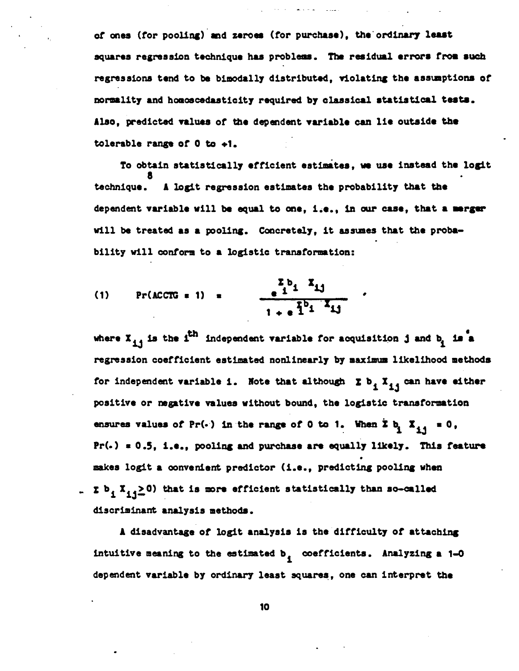of ones (for pooling) and zeroes (for purchase), the ordinary least squares regression technique has problems. The residual errors from such regressions tend to be bimodally distributed, violating the assumptions of normality and homoscedasticity required by classical statistical tests. Also, predicted values of the dependent variable can lie outside the tolerable range of  $0$  to  $+1$ .

To obtain statistically efficient estimates, we use instead the logit A logit regression estimates the probability that the technique. dependent variable will be equal to one, i.e., in our case, that a merger will be treated as a pooling. Concretely, it assumes that the probability will conform to a logistic transformation:

(1) 
$$
\Pr(\text{ACCTG = 1}) = \frac{\sum_{i=1}^{n} b_i X_{i,j}}{1 + e^{\frac{T}{1}b_i X_{i,j}}}.
$$

where  $X_{\pm 4}$  is the i<sup>th</sup> independent variable for acquisition j and  $b_1$  is a regression coefficient estimated nonlinearly by maximum likelihood methods for independent variable i. Note that although  $\Sigma$  b<sub>1</sub> X<sub>11</sub> can have either positive or negative values without bound, the logistic transformation ensures values of Pr(.) in the range of 0 to 1. When  $\sum b_i \sum_{i,j} = 0$ , Pr(.) = 0.5, i.e., pooling and purchase are equally likely. This feature makes logit a convenient predictor (i.e., predicting pooling when .  $\Sigma$  b<sub>i</sub> X<sub>11</sub>  $\geq$  0) that is more efficient statistically than so-called discriminant analysis methods.

A disadvantage of logit analysis is the difficulty of attaching intuitive meaning to the estimated b, coefficients. Analyzing a 1-0 dependent variable by ordinary least squares, one can interpret the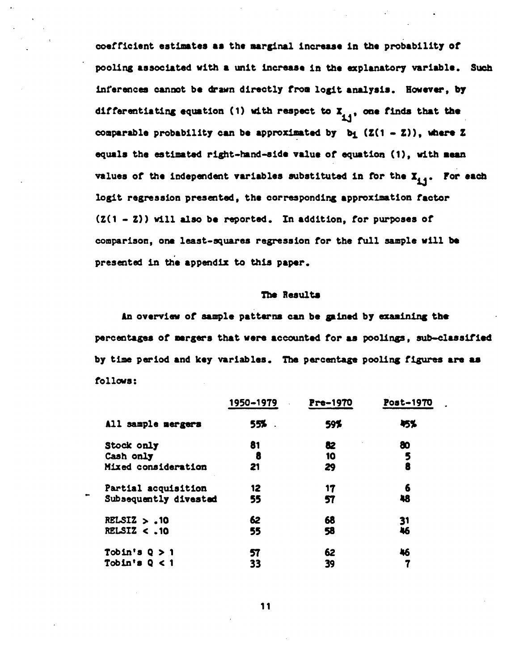coefficient estimates as the marginal increase in the probability of pooling associated with a unit increase in the explanatory variable. Such inferences cannot be drawn directly from logit analysis. However, by differentiating equation (1) with respect to  $X_{4,4}$ , one finds that the comparable probability can be approximated by  $b_1$  (Z(1 - Z)), where Z equals the estimated right-hand-side value of equation (1), with mean values of the independent variables substituted in for the  $X_{4,4}$ . For each logit regression presented, the corresponding approximation factor  $(2(1 - 2))$  will also be reported. In addition, for purposes of comparison, one least-squares regression for the full sample will be presented in the appendix to this paper.

#### The Results

An overview of sample patterns can be gained by examining the percentages of mergers that were accounted for as poolings, sub-classified by time period and key variables. The percentage pooling figures are as follows:

|                        | 1950-1979 | Pre-1970 | Post-1970 |
|------------------------|-----------|----------|-----------|
| All sample mergers     | 55%       | 59%      | 45%       |
| <b>Stock only</b>      | 81        | 82       | 80        |
| Cash only              | 8         | 10       | 5         |
| Mixed consideration    | 21        | 29       | 8         |
| Partial acquisition    | 12        | 17       | 6         |
| Subsequently divested  | 55        | 57       | 48        |
| RELSIZ $> .10$         | 62        | 68       | 31        |
| <b>RELSIZ &lt; .10</b> | 55        | 58       | 46        |
| Tobin's $Q > 1$        | 57        | 62       | 46        |
| Tobin's $Q < 1$        | 33        | 39       |           |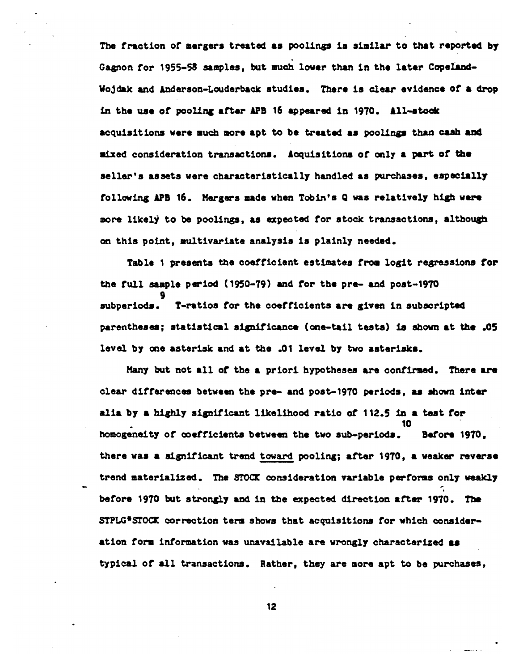The fraction of mergers treated as poolings is similar to that reported by Gagnon for 1955-58 samples, but much lower than in the later Copeland-Wojdak and Anderson-Louderback studies. There is clear evidence of a drop in the use of pooling after APB 16 appeared in 1970. All-stock acquisitions were much more apt to be treated as poolings than cash and mixed consideration transactions. Acquisitions of only a part of the seller's assets were characteristically handled as purchases, especially following APB 16. Mergers made when Tobin's Q was relatively high were more likely to be poolings, as expected for stock transactions, although on this point, multivariate analysis is plainly needed.

Table 1 presents the coefficient estimates from logit regressions for the full sample period (1950-79) and for the pre- and post-1970 subperiods. T-ratios for the coefficients are given in subscripted parentheses; statistical significance (one-tail tests) is shown at the .05 level by one asterisk and at the .01 level by two asterisks.

Many but not all of the a priori hypotheses are confirmed. There are clear differences between the pre- and post-1970 periods, as shown inter alia by a highly significant likelihood ratio of 112.5 in a test for homogeneity of coefficients between the two sub-periods. Before 1970, there was a significant trend toward pooling; after 1970, a weaker reverse trend materialized. The STOCK consideration variable performs only weakly before 1970 but strongly and in the expected direction after 1970. The STPLG\*STOCK correction term shows that acquisitions for which consideration form information was unavailable are wrongly characterized as typical of all transactions. Rather, they are more apt to be purchases.

 $12<sup>2</sup>$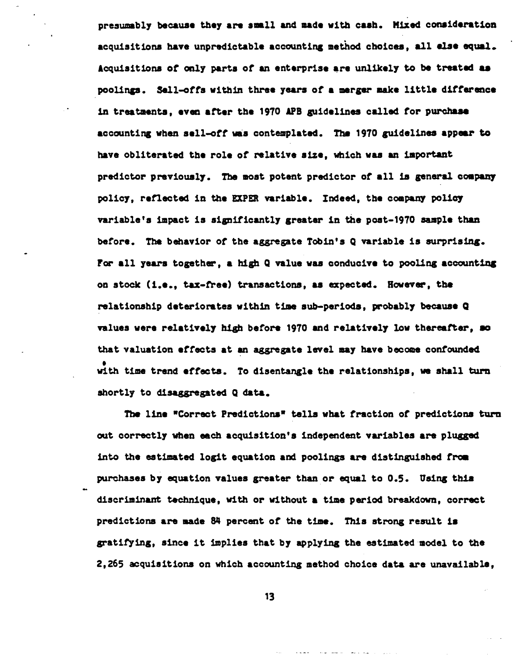presumably because they are small and made with cash. Mixed consideration acquisitions have unpredictable accounting method choices, all else equal. Acquisitions of only parts of an enterprise are unlikely to be treated as poolings. Sell-offs within three years of a merger make little difference in treatments, even after the 1970 APB guidelines called for purchase accounting when sell-off was contemplated. The 1970 guidelines appear to have obliterated the role of relative size, which was an important predictor previously. The most potent predictor of all is general company policy, reflected in the EXPER variable. Indeed, the company policy variable's impact is significantly greater in the post-1970 sample than before. The behavior of the aggregate Tobin's Q variable is surprising. For all years together, a high Q value was conducive to pooling accounting on stock (i.e., tax-free) transactions, as expected. However, the relationship deteriorates within time sub-periods, probably because Q values were relatively high before 1970 and relatively low thereafter, so that valuation effects at an aggregate level may have become confounded with time trend effects. To disentangle the relationships, we shall turn shortly to disaggregated Q data.

The line "Correct Predictions" tells what fraction of predictions turn out correctly when each acquisition's independent variables are plugged into the estimated logit equation and poolings are distinguished from purchases by equation values greater than or equal to 0.5. Using this discriminant technique, with or without a time period breakdown, correct predictions are made 84 percent of the time. This strong result is gratifying, since it implies that by applying the estimated model to the 2,265 acquisitions on which accounting method choice data are unavailable,

 $13<sub>1</sub>$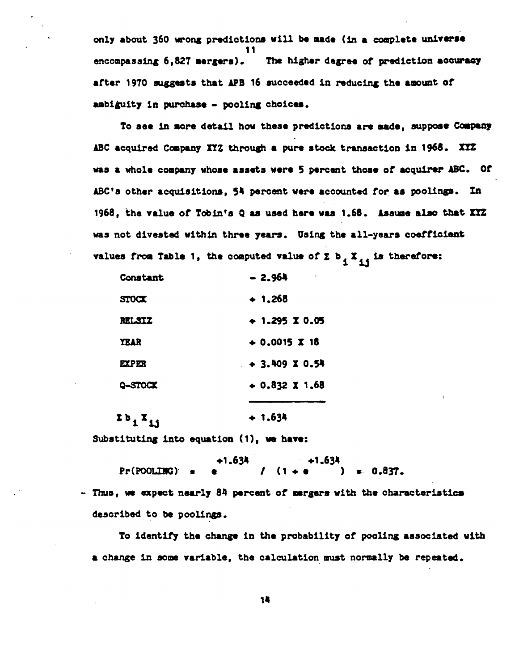only about 360 wrong predictions will be made (in a complete universe 11 encompassing 6.827 mergers). The higher degree of prediction accuracy after 1970 suggests that APB 16 succeeded in reducing the amount of ambiguity in purchase - pooling choices.

To see in more detail how these predictions are made, suppose Company ABC acquired Company XYZ through a pure stock transaction in 1968. XYZ was a whole company whose assets were 5 percent those of acquirer ABC. Of ABC's other acquisitions. 54 percent were accounted for as poolings. In 1968, the value of Tobin's Q as used here was 1.68. Assume also that XXZ was not divested within three years. Using the all-years coefficient values from Table 1, the computed value of  $\Sigma$  b<sub>1</sub>  $X_{11}$  is therefore:

| Constant | $-2.964$             |
|----------|----------------------|
| STOCK    | $+ 1.268$            |
| relstz   | $+1.295$ X 0.05      |
| YEAR     | $+0.0015 \times 18$  |
| EXPER    | $+3.409 \times 0.54$ |
| Q-STOCK  | $+0.832 \times 1.68$ |
|          |                      |

 $2b_1X_{11}$  $+ 1.634$ 

Substituting into equation (1), we have:

 $+1.634$ <br>(1 + e ) = 0.837. ←1.634 Pr(POOLING)

- Thus, we expect nearly 84 percent of mergers with the characteristics described to be poolings.

To identify the change in the probability of pooling associated with a change in some variable, the calculation must normally be repeated.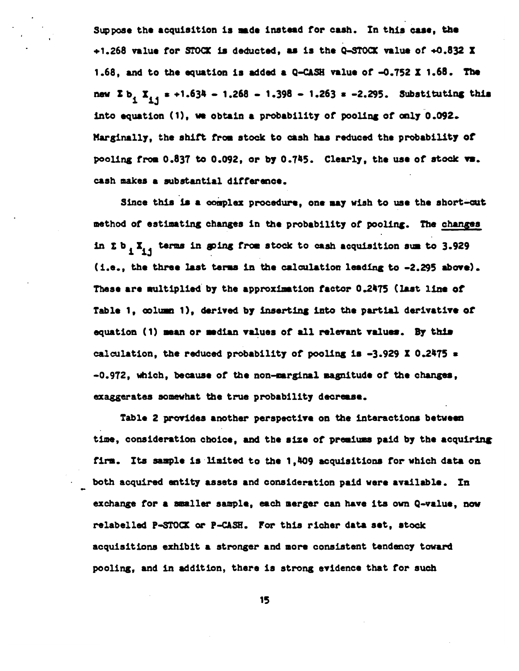Suppose the acquisition is made instead for cash. In this case, the  $+1.268$  value for STOCK is deducted, as is the Q-STOCK value of  $+0.832$  X 1.68, and to the equation is added a Q-CASH value of -0.752 X 1.68. The new  $\Sigma$  b<sub>1</sub>  $X_{1,1}$  = +1.634 - 1.268 - 1.398 - 1.263 = -2.295. Substituting this into equation (1), we obtain a probability of pooling of only 0.092. Marginally, the shift from stock to cash has reduced the probability of pooling from 0.837 to 0.092, or by 0.745. Clearly, the use of stock vs. cash makes a substantial difference.

Since this is a complex procedure, one may wish to use the short-cut method of estimating changes in the probability of pooling. The changes in  $\Sigma$  b,  $X_{i,j}$  terms in going from stock to cash acquisition sum to 3.929 (i.e., the three last terms in the calculation leading to -2.295 above). These are multiplied by the approximation factor 0.2475 (last line of Table 1, column 1), derived by inserting into the partial derivative of equation (1) mean or median values of all relevant values. By this calculation, the reduced probability of pooling is  $-3.929$  X 0.2475  $\pm$ -0.972, which, because of the non-marginal magnitude of the changes, exaggerates somewhat the true probability decrease.

Table 2 provides another perspective on the interactions between time, consideration choice, and the size of premiums paid by the acquiring firm. Its sample is limited to the 1,409 acquisitions for which data on both acquired entity assets and consideration paid were available. In exchange for a smaller sample, each merger can have its own Q-value, now relabelled P-STOCK or P-CASH. For this richer data set, stock acquisitions exhibit a stronger and more consistent tendency toward pooling, and in addition, there is strong evidence that for such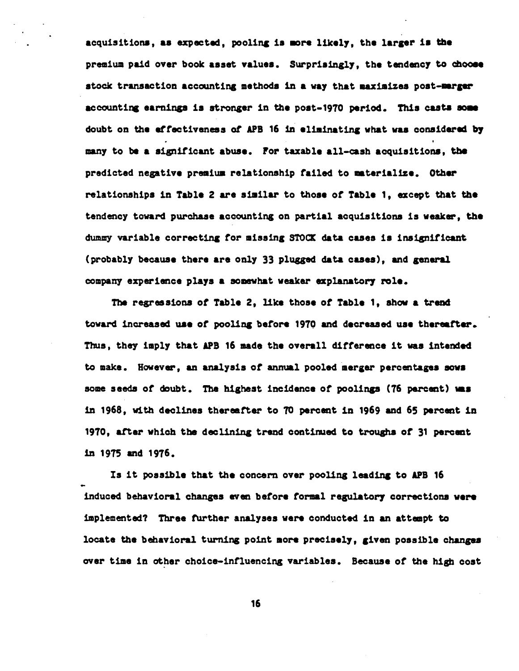acquisitions, as expected, pooling is more likely, the larger is the premium paid over book asset values. Surprisingly, the tendency to choose stock transaction accounting methods in a way that maximizes post-marger accounting earnings is stronger in the post-1970 period. This casts some doubt on the effectiveness of APB 16 in eliminating what was considered by many to be a significant abuse. For taxable all-cash acquisitions, the predicted negative premium relationship failed to materialize. Other relationships in Table 2 are similar to those of Table 1, except that the tendency toward purchase accounting on partial acquisitions is weaker, the dummy variable correcting for missing STOCK data cases is insignificant (probably because there are only 33 plugged data cases), and general company experience plays a somewhat weaker explanatory role.

The regressions of Table 2, like those of Table 1, show a trend toward increased use of pooling before 1970 and decreased use thereafter. Thus, they imply that APB 16 made the overall difference it was intended to make. However, an analysis of annual pooled merger percentages sows some seeds of doubt. The highest incidence of poolings (76 percent) was in 1968, with declines thereafter to 70 percent in 1969 and 65 percent in 1970, after which the declining trend continued to troughs of 31 percent in 1975 and 1976.

Is it possible that the concern over pooling leading to APB 16 induced behavioral changes even before formal regulatory corrections were implemented? Three further analyses were conducted in an attempt to locate the behavioral turning point more precisely, given possible changes over time in other choice-influencing variables. Because of the high cost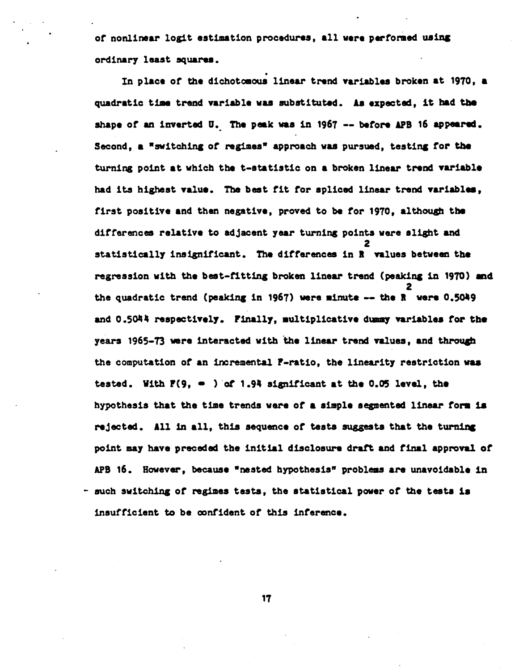of nonlinear logit estimation procedures, all were performed using ordinary least squares.

In place of the dichotomous linear trend variables broken at 1970, a quadratic time trend variable was substituted. As expected, it had the shape of an inverted U. The peak was in 1967 -- before APB 16 appeared. Second, a "switching of regimes" approach was pursued, testing for the turning point at which the t-statistic on a broken linear trend variable had its highest value. The best fit for spliced linear trend variables, first positive and then negative, proved to be for 1970, although the differences relative to adjacent year turning points were slight and statistically insignificant. The differences in R values between the regression with the best-fitting broken linear trend (peaking in 1970) and the quadratic trend (peaking in 1967) were minute -- the R were 0.5049 and 0.5044 respectively. Finally, multiplicative dummy variables for the years 1965-73 were interacted with the linear trend values, and through the computation of an incremental F-ratio. the linearity restriction was tested. With  $P(9, -1)$  of 1.94 significant at the 0.05 level, the hypothesis that the time trends were of a simple segmented linear form is rejected. All in all, this sequence of tests suggests that the turning point may have preceded the initial disclosure draft and final approval of APB 16. However, because "nested hypothesis" problems are unavoidable in - such switching of regimes tests, the statistical power of the tests is insufficient to be confident of this inference.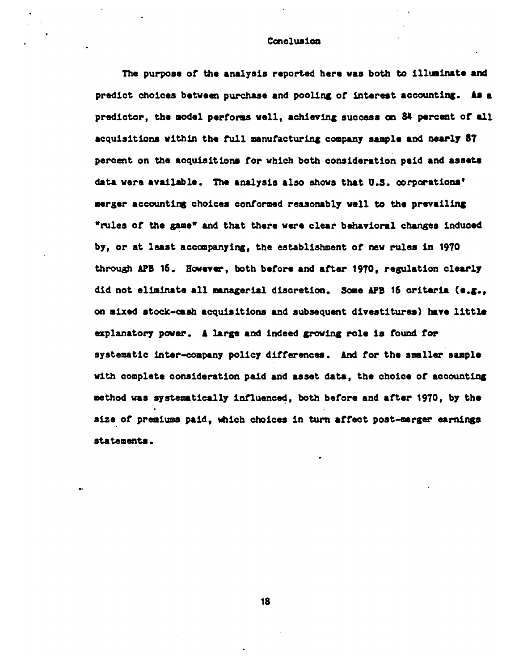#### Conclusion

The purpose of the analysis reported here was both to illuminate and predict choices between purchase and pooling of interest accounting. As a predictor, the model performs well, achieving success on 84 percent of all acquisitions within the full manufacturing company sample and nearly 87 percent on the acquisitions for which both consideration paid and assets data were available. The analysis also shows that U.S. corporations' merger accounting choices conformed reasonably well to the prevailing "rules of the game" and that there were clear behavioral changes induced by, or at least accompanying, the establishment of new rules in 1970 through APB 16. However, both before and after 1970, regulation clearly did not eliminate all managerial discretion. Some APB 16 criteria (e.g.. on mixed stock-cash acquisitions and subsequent divestitures) have little explanatory power. A large and indeed growing role is found for systematic inter-company policy differences. And for the smaller sample with complete consideration paid and asset data, the choice of accounting method was systematically influenced, both before and after 1970, by the size of premiums paid, which choices in turn affect post-merger earnings statements.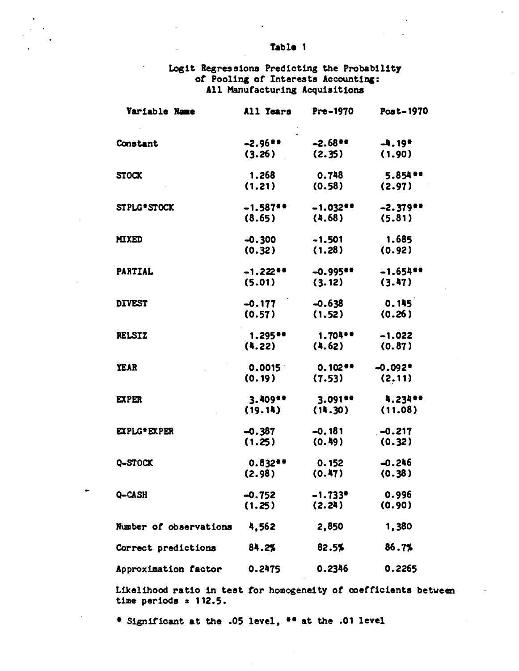## Logit Regressions Predicting the Probability<br>of Pooling of Interests Accounting: All Manufacturing Acquisitions

| Variable Name          | All Years             | Pre-1970               | Post-1970             |
|------------------------|-----------------------|------------------------|-----------------------|
|                        |                       |                        |                       |
| Constant               | $-2.96$ <sup>**</sup> | $-2.68$ <sup>**</sup>  | $-4.19*$              |
|                        | (3.26)                | (2.35)                 | (1.90)                |
| <b>STOCK</b>           | 1.268                 | 0.748                  | 5.854 **              |
|                        | (1.21)                | (0.58)                 | (2.97)                |
| STPLG STOCK            | $-1.587$ **           | $-1.032+$              | $-2.379$ **           |
|                        | (8.65)                | (4.68)                 | (5.81)                |
| <b>MIXED</b>           | $-0.300$              | $-1.501$               | 1.685                 |
|                        | (0.32)                | (1.28)                 | (0.92)                |
| <b>PARTIAL</b>         | $-1.22$ <sup>**</sup> | $-0.995$ <sup>**</sup> | $-1.654$ **           |
|                        | (5.01)                | (3.12)                 | (3.47)                |
| <b>DIVEST</b>          | $-0.177$              | $-0.638$               | 0.145                 |
|                        | (0.57)                | (1.52)                 | (0.26)                |
| <b>RELSIZ</b>          | $1.295 +$             | $1.704 +$              | $-1.022$              |
|                        | (4.22)                | (4.62)                 | (0.87)                |
| <b>YEAR</b>            | 0.0015                | $0.102**$              | $-0.092$ <sup>*</sup> |
|                        | (0.19)                | (7.53)                 | (2.11)                |
| <b>EXPER</b>           | $3.409 +$             | $3.091$ **             | 4.234**               |
|                        | (19.14)               | (14.30)                | (11.08)               |
| EXPLG EXPER            | $-0.387$              | $-0.181$               | $-0.217$              |
|                        | (1.25)                | (0.49)                 | (0.32)                |
| Q-STOCK                | $0.832**$             | 0.152                  | $-0.246$              |
|                        | (2.98)                | (0.47)                 | (0.38)                |
| <b>Q-CASH</b>          | $-0.752$              | $-1.733$ *             | 0.996                 |
|                        | (1.25)                | (2.24)                 | (0.90)                |
| Number of observations | 4,562                 | 2,850                  | 1,380                 |
| Correct predictions    | 84.2%                 | 82.5%                  | 86.7%                 |
| Approximation factor   | 0.2475                | 0.2346                 | 0.2265                |

Likelihood ratio in test for homogeneity of coefficients between time periods  $x$  112.5.

\* Significant at the .05 level, \*\* at the .01 level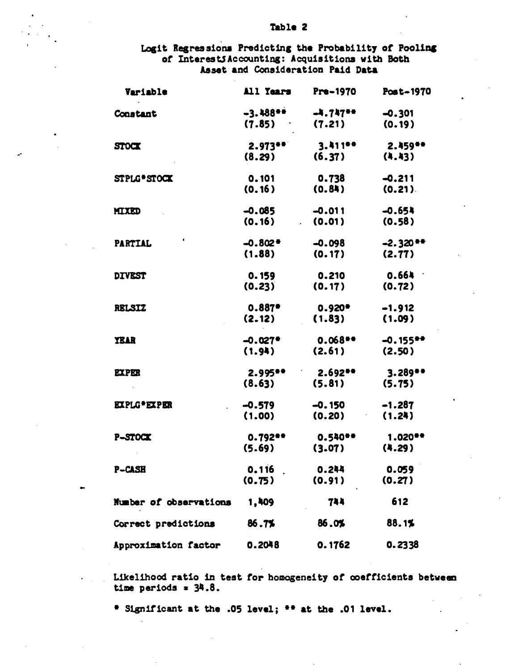Logit Regressions Predicting the Probability of Pooling of Interest Caccounting: Acquisitions with Both Asset and Consideration Paid Data

| Variable               | All Years             | Pre-1970   | Post-1970             |
|------------------------|-----------------------|------------|-----------------------|
| Constant               | $-3.488$              | $-4.747 +$ | $-0.301$              |
|                        | (7.85)                | (7.21)     | (0.19)                |
| STOCK                  | $2.973+$              | 3.411**    | $2.459$ **            |
|                        | (8.29)                | (6.37)     | (4.43)                |
| STPLG*STOCK            | 0.101                 | 0.738      | $-0.211$              |
|                        | (0.16)                | (0.84)     | (0.21)                |
| MIXED                  | $-0.085$              | $-0.011$   | $-0.654$              |
|                        | (0.16)                | (0.01)     | (0.58)                |
| <b>PARTIAL</b>         | $-0.802 +$            | $-0.098$   | $-2.320**$            |
|                        | (1.88)                | (0.17)     | (2.77)                |
| <b>DIVEST</b>          | 0.159                 | 0.210      | 0.664                 |
|                        | (0.23)                | (0.17)     | (0.72)                |
| <b>RELSIZ</b>          | 0.887                 | $0.920 +$  | $-1.912$              |
|                        | (2.12)                | (1.83)     | (1.09)                |
| <b>YEAR</b>            | $-0.027$ <sup>*</sup> | $0.068 +$  | $-0.155$ **           |
|                        | (1.94)                | (2.61)     | (2.50)                |
| <b>EXPER</b>           | 2.995                 | 2.692**    | $3.289$ <sup>**</sup> |
|                        | (8.63)                | (5.81)     | (5.75)                |
| <b>EXPLG*EXPER</b>     | $-0.579$              | $-0.150$   | $-1.287$              |
|                        | (1.00)                | (0.20)     | (1.24)                |
| P-STOCK                | $0.792$ <sup>**</sup> | 0.540**    | $1.020$ <sup>**</sup> |
|                        | (5.69)                | (3.07)     | (4.29)                |
| <b>P-CASH</b>          | 0.116                 | 0.244      | 0.059                 |
|                        | (0.75)                | (0.91)     | (0.27)                |
| Number of observations | 1,409                 | 744        | 612                   |
| Correct predictions    | 86.7%                 | 86.0%      | 88.1%                 |
| Approximation factor   | 0.2048                | 0.1762     | 0.2338                |

Likelihood ratio in test for homogeneity of coefficients between time periods  $= 34.8$ .

\* Significant at the .05 level; \*\* at the .01 level.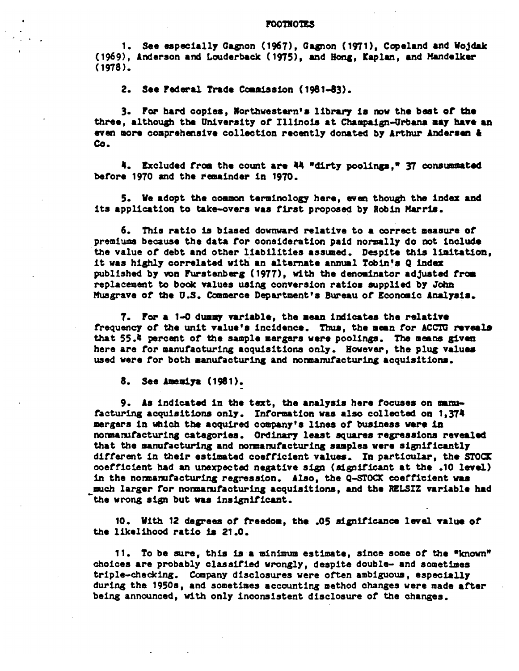#### **POOTNOTES**

1. See especially Gagnon (1967), Gagnon (1971), Copeland and Wojdak (1969), Anderson and Louderback (1975), and Hong, Kaplan, and Mandelker  $(1978)$ .

2. See Federal Trade Commission (1981-83).

3. For hard copies, Northwestern's library is now the best of the three, although the University of Illinois at Champaign-Urbana may have an even more comprehensive collection recently donated by Arthur Andersen &  $Co<sub>2</sub>$ 

4. Excluded from the count are 44 "dirty poolings," 37 consummated before 1970 and the remainder in 1970.

5. We adopt the common terminology here, even though the index and its application to take-overs was first proposed by Robin Marris.

6. This ratio is biased downward relative to a correct measure of premiums because the data for consideration paid normally do not include the value of debt and other liabilities assumed. Despite this limitation. it was highly correlated with an alternate annual Tobin's Q index published by von Furstenberg (1977), with the denominator adjusted from replacement to book values using conversion ratios supplied by John Musgrave of the U.S. Commerce Department's Bureau of Economic Analysis.

7. For a 1-0 dummy variable, the mean indicates the relative frequency of the unit value's incidence. Thus, the mean for ACCTG reveals that 55.4 percent of the sample mergers were poolings. The means given here are for manufacturing acquisitions only. However, the plug values used were for both manufacturing and nonmanufacturing acquisitions.

8. See Amemiya (1981).

9. As indicated in the text, the analysis here focuses on manufacturing acquisitions only. Information was also collected on 1,374 mergers in which the acquired company's lines of business were in nonmanufacturing categories. Ordinary least squares regressions revealed that the manufacturing and nonmanufacturing samples were significantly different in their estimated coefficient values. In particular, the STOCK coefficient had an unexpected negative sign (significant at the .10 level) in the normanufacturing regression. Also, the Q-STOCK coefficient was much larger for nonmanufacturing acquisitions, and the RELSIZ variable had the wrong sign but was insignificant.

10. With 12 degrees of freedom, the .05 significance level value of the likelihood ratio is 21.0.

11. To be sure, this is a minimum estimate, since some of the "known" choices are probably classified wrongly, despite double- and sometimes triple-checking. Company disclosures were often ambiguous, especially during the 1950s, and sometimes accounting method changes were made after. being announced, with only inconsistent disclosure of the changes.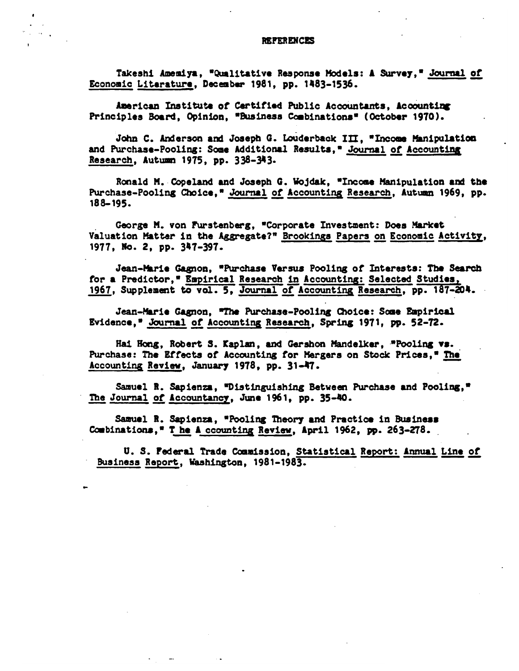Takeshi Amemiya, "Qualitative Response Models: A Survey," Journal of Economic Literature, December 1981, pp. 1483-1536.

American Institute of Certified Public Accountants, Accounting Principles Board, Opinion, "Business Combinations" (October 1970).

John C. Anderson and Joseph G. Louderback III. "Income Manipulation and Purchase-Pooling: Some Additional Results." Journal of Accounting Research, Autumn 1975, pp. 338-343.

Ronald M. Copeland and Joseph G. Wojdak, "Income Manipulation and the Purchase-Pooling Choice," Journal of Accounting Research, Autumn 1969, pp. 188-195.

George M. von Furstenberg, "Corporate Investment: Does Market Valuation Matter in the Aggregate?" Brookings Papers on Economic Activity, 1977, No. 2, pp. 347-397.

Jean-Marie Gagnon, "Purchase Versus Pooling of Interests: The Search for a Predictor," Empirical Research in Accounting: Selected Studies, 1967, Supplement to vol. 5, Journal of Accounting Research, pp. 187-204.

Jean-Marie Gagnon, "The Purchase-Pooling Choice: Some Empirical Evidence," Journal of Accounting Research, Spring 1971, pp. 52-72.

Hai Hong, Robert S. Kaplan, and Gershon Mandelker, "Pooling vs. Purchase: The Effects of Accounting for Mergers on Stock Prices." The Accounting Review, January 1978, pp. 31-47.

Samuel R. Sapienza, "Distinguishing Between Purchase and Pooling," The Journal of Accountancy, June 1961, pp. 35-40.

Samuel R. Sapienza, "Pooling Theory and Practice in Business Combinations," The A counting Review, April 1962, pp. 263-278.

U. S. Federal Trade Commission, Statistical Report: Annual Line of Business Report, Washington, 1981-1983.